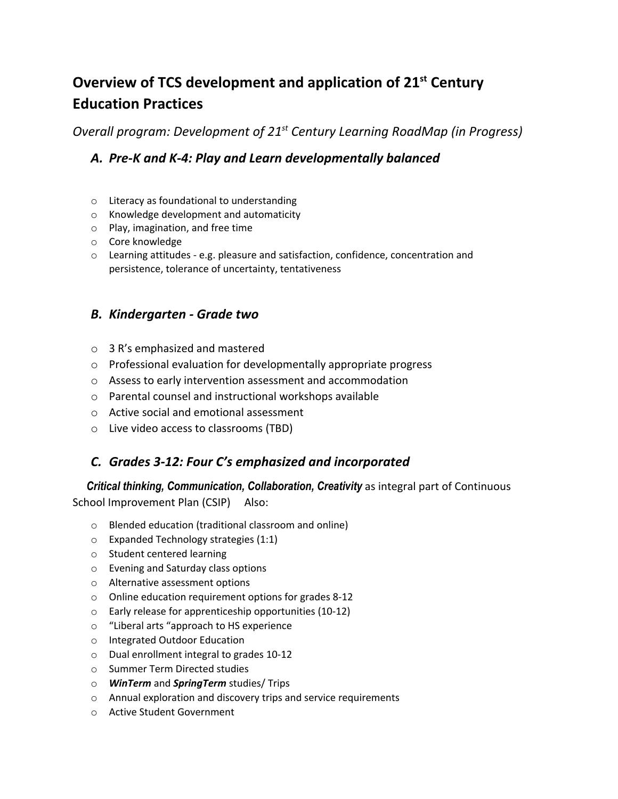# **Overview of TCS development and application of 21 st Century Education Practices**

*Overall program: Development of 21 st Century Learning RoadMap (in Progress)*

## *A. Pre-K and K-4: Play and Learn developmentally balanced*

- o Literacy as foundational to understanding
- o Knowledge development and automaticity
- o Play, imagination, and free time
- o Core knowledge
- o Learning attitudes e.g. pleasure and satisfaction, confidence, concentration and persistence, tolerance of uncertainty, tentativeness

### *B. Kindergarten - Grade two*

- o 3 R's emphasized and mastered
- o Professional evaluation for developmentally appropriate progress
- o Assess to early intervention assessment and accommodation
- o Parental counsel and instructional workshops available
- o Active social and emotional assessment
- o Live video access to classrooms (TBD)

### *C. Grades 3-12: Four C's emphasized and incorporated*

 *Critical thinking, Communication, Collaboration, Creativity* as integral part of Continuous School Improvement Plan (CSIP) Also:

- o Blended education (traditional classroom and online)
- o Expanded Technology strategies (1:1)
- o Student centered learning
- o Evening and Saturday class options
- o Alternative assessment options
- o Online education requirement options for grades 8-12
- o Early release for apprenticeship opportunities (10-12)
- o "Liberal arts "approach to HS experience
- o Integrated Outdoor Education
- o Dual enrollment integral to grades 10-12
- o Summer Term Directed studies
- o *WinTerm* and *SpringTerm* studies/ Trips
- o Annual exploration and discovery trips and service requirements
- o Active Student Government